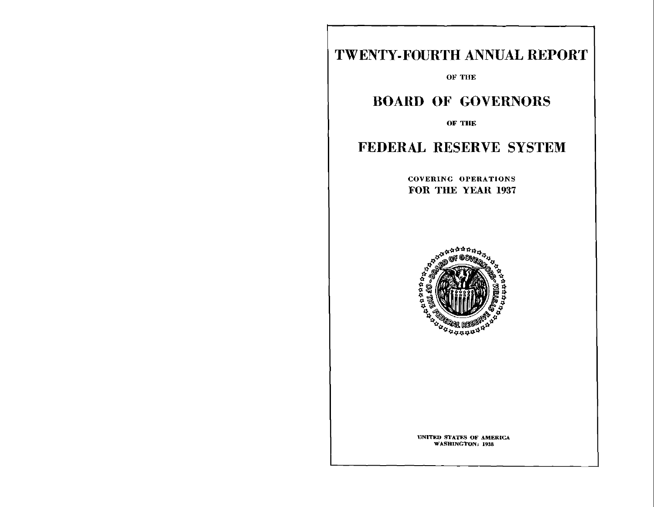# TWENTY-FOURTH ANNUAL REPORT

**OF THE**

## BOARD OF GOVERNORS

**OF THE**

### FEDERAL RESERVE SYSTEM

**COVERING OPERATIONS**  FOR THE YEAR 1937



**UNITED STATES OF AMERICA WASHINGTON: 1938**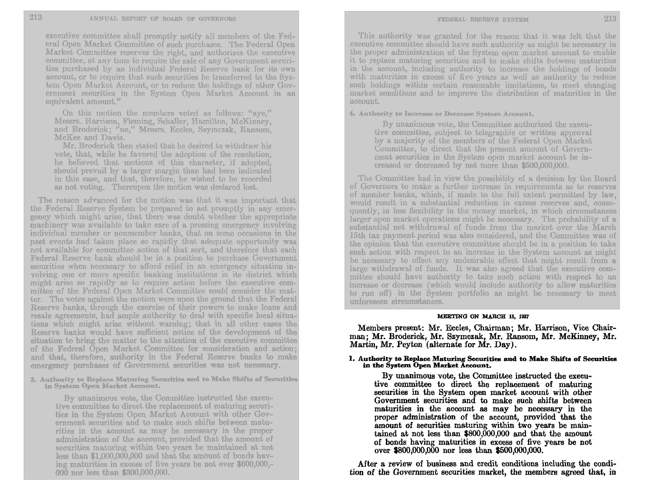executive committee shall promptly notify all members of the Fed eral Open Market Committee of such purchases. The Federal Open Market Committee reserves the right, and authorizes the executive committee, at any time to require the sale of any Government securi ties purchased by an individual Federal Reserve bank for its own account, or to require that such securities be transferred to the System Open Market Account, or to reduce the holdings of other Gov ernment securities in the System Open Market Account in an equivalent amount."

On this motion the members voted as follows: "aye," Messrs. Harrison, Fleming, Schaller, Hamilton, McKinney, and Broderick; *"no,"* Messrs. Eccles, Szymczak, Ransom, McKee and Davis.

Mr. Broderick then stated that he desired to withdraw his vote, that, while he favored the adoption of the resolution, he believed that motions of this character, if adopted, should prevail **by** a larger margin than had been indicated in this case, and that, therefore, he wished to be recorded as not voting. Thereupon the motion was declared lost.

The reason advanced for the motion was that it was important that the Federal Reserve System be prepared to act promptly in any emer gency which might arise, that there was doubt whether the appropriate machinery was available to take care of a pressing emergency involving individual member or nonmember banks, that on some occasions in the past events had taken place so rapidly that adequate opportunity was not available for committee action of that sort, and therefore that each Federal Reserve bank should be in a position to purchase Government securities when necessary to afford relief in an emergency situation in volving one or more specific banking institutions in its district which might arise so rapidly as to require action before the executive com mittee of the Federal Open Market Committee could consider the mat ter. The votes against the motion were upon the ground that the Federal Reserve banks, through the exercise of their powers to make loans and resale agreements, had ample authority to deal with specific local situa tions which might arise without warning; that in all other cases the Reserve banks would have sufficient notice of the development of the situation to bring the matter to the attention of the executive committee of the Federal Open Market Committee for consideration and action; and that, therefore, authority in the Federal Reserve banks to make emergency purchases of Government securities was not necessary.

**3. Authority to Replace Maturing Securities and to Make Shifts of Securities in System Open Market Account.** 

**By** unanimous vote, the Committee instructed the execu tive committee to direct the replacement of maturing securi ties in the System Open Market Account with other Gov ernment securities and to make such shifts between matu rities in the account as may be necessary in the proper administration of the account, provided that the amount of securities maturing within two years **be** maintained at not less than **\$1,000,000,000** and that the amount of bonds hav ing maturities in excess of five years be not over **\$600,000, 000** nor less than **\$300,000,000.**

This authority was granted for the reason that it was felt that the executive committee should have such authority as might be necessary in the proper administration of the System open market account to enable it to replace maturing securities and to make shifts between maturities in the account, including authority to increase the holdings of bonds with maturities in excess of five years as well as authority to reduce such holdings within certain reasonable limitations, to meet changing market conditions and to improve the distribution of maturities in the account.

**4. Authority to Increase or Decrease System Account.** 

**By** unanimous vote, the Committee authorized the execu tive committee, subject to telegraphic or written approval by a majority of the members of the Federal Open Market Committee, to direct that the present amount of Govern ment securities in the System open market account be increased or decreased by not more than \$500,000,000.

The Committee had in view the possibility of a decision by the Board of Governors to make a further increase in requirements as to reserves of member banks, which, if made to the full extent permitted by law, would result in a substantial reduction in excess reserves and, conse quently, in less flexibility in the money market, in which circumstances larger open market operations might **be** necessary. The probability of a substantial net withdrawal of funds from the market over the March 15th tax payment period was also considered, and the Committee was of the opinion that the executive committee should be in a position to take such action with respect to an increase in the System account as might be necessary to offset any undesirable effect that might result from a large withdrawal of funds. It was also agreed that the executive committee should have authority to take such action with respect to an increase or decrease (which would include authority to allow maturities to run off) in the System portfolio as might be necessary to meet unforeseen circumstances.

#### **MEETING ON MARCH 15, 1937**

Members present: Mr. Eccles, Chairman; Mr. Harrison, Vice Chair man; Mr. Broderick, Mr. Szymczak, Mr. Ransom, Mr. McKinney, Mr. Martin, **Mr.** Peyton (alternate for Mr. **Day).** 

#### **1. Authority to Replace Maturing Securities and to Make Shifts of Securities in the System Open Market Account.**

**By** unanimous vote, the Committee instructed the execu tive committee to direct the replacement of maturing securities in the System open market account with other Government securities and to make such shifts between maturities in the account as may be necessary in the proper administration of the account, provided that the amount of securities maturing within two years be main tained at not less than **\$800,000,000** and that the amount of bonds having maturities in excess of five years be not over **\$800,000,000** nor less than **\$500,000,000.** 

After a review of business and credit conditions including the condition of the Government securities market, the members agreed that, in